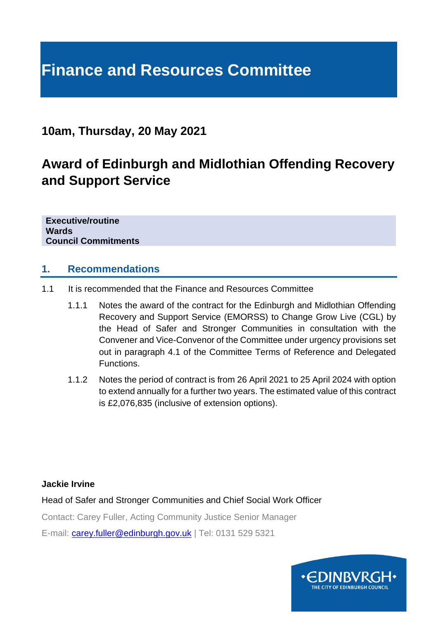# **Finance and Resources Committee**

## **10am, Thursday, 20 May 2021**

## **Award of Edinburgh and Midlothian Offending Recovery and Support Service**

**Executive/routine Wards Council Commitments**

#### **1. Recommendations**

- 1.1 It is recommended that the Finance and Resources Committee
	- 1.1.1 Notes the award of the contract for the Edinburgh and Midlothian Offending Recovery and Support Service (EMORSS) to Change Grow Live (CGL) by the Head of Safer and Stronger Communities in consultation with the Convener and Vice-Convenor of the Committee under urgency provisions set out in paragraph 4.1 of the Committee Terms of Reference and Delegated Functions.
	- 1.1.2 Notes the period of contract is from 26 April 2021 to 25 April 2024 with option to extend annually for a further two years. The estimated value of this contract is £2,076,835 (inclusive of extension options).

#### **Jackie Irvine**

Head of Safer and Stronger Communities and Chief Social Work Officer

Contact: Carey Fuller, Acting Community Justice Senior Manager

E-mail: [carey.fuller@edinburgh.gov.uk](mailto:carey.fuller@edinburgh.gov.uk) | Tel: 0131 529 5321

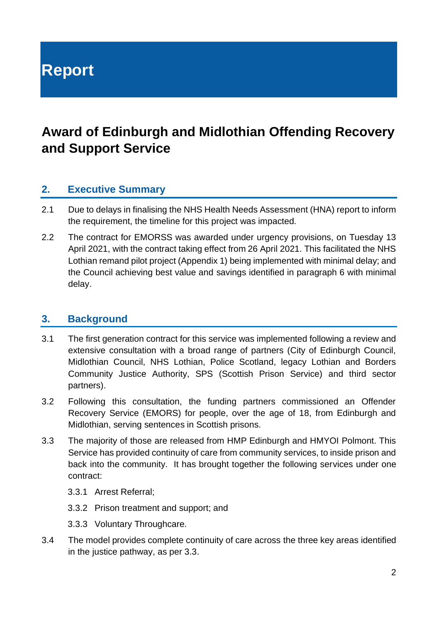**Report**

## **Award of Edinburgh and Midlothian Offending Recovery and Support Service**

### **2. Executive Summary**

- 2.1 Due to delays in finalising the NHS Health Needs Assessment (HNA) report to inform the requirement, the timeline for this project was impacted.
- 2.2 The contract for EMORSS was awarded under urgency provisions, on Tuesday 13 April 2021, with the contract taking effect from 26 April 2021. This facilitated the NHS Lothian remand pilot project (Appendix 1) being implemented with minimal delay; and the Council achieving best value and savings identified in paragraph 6 with minimal delay.

#### **3. Background**

- 3.1 The first generation contract for this service was implemented following a review and extensive consultation with a broad range of partners (City of Edinburgh Council, Midlothian Council, NHS Lothian, Police Scotland, legacy Lothian and Borders Community Justice Authority, SPS (Scottish Prison Service) and third sector partners).
- 3.2 Following this consultation, the funding partners commissioned an Offender Recovery Service (EMORS) for people, over the age of 18, from Edinburgh and Midlothian, serving sentences in Scottish prisons.
- 3.3 The majority of those are released from HMP Edinburgh and HMYOI Polmont. This Service has provided continuity of care from community services, to inside prison and back into the community. It has brought together the following services under one contract:
	- 3.3.1 Arrest Referral;
	- 3.3.2 Prison treatment and support; and
	- 3.3.3 Voluntary Throughcare.
- 3.4 The model provides complete continuity of care across the three key areas identified in the justice pathway, as per 3.3.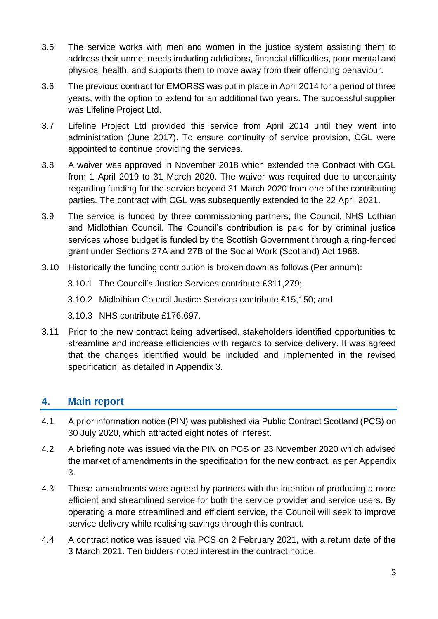- 3.5 The service works with men and women in the justice system assisting them to address their unmet needs including addictions, financial difficulties, poor mental and physical health, and supports them to move away from their offending behaviour.
- 3.6 The previous contract for EMORSS was put in place in April 2014 for a period of three years, with the option to extend for an additional two years. The successful supplier was Lifeline Project Ltd.
- 3.7 Lifeline Project Ltd provided this service from April 2014 until they went into administration (June 2017). To ensure continuity of service provision, CGL were appointed to continue providing the services.
- 3.8 A waiver was approved in November 2018 which extended the Contract with CGL from 1 April 2019 to 31 March 2020. The waiver was required due to uncertainty regarding funding for the service beyond 31 March 2020 from one of the contributing parties. The contract with CGL was subsequently extended to the 22 April 2021.
- 3.9 The service is funded by three commissioning partners; the Council, NHS Lothian and Midlothian Council. The Council's contribution is paid for by criminal justice services whose budget is funded by the Scottish Government through a ring-fenced grant under Sections 27A and 27B of the Social Work (Scotland) Act 1968.
- 3.10 Historically the funding contribution is broken down as follows (Per annum):
	- 3.10.1 The Council's Justice Services contribute £311,279;
	- 3.10.2 Midlothian Council Justice Services contribute £15,150; and
	- 3.10.3 NHS contribute £176,697.
- 3.11 Prior to the new contract being advertised, stakeholders identified opportunities to streamline and increase efficiencies with regards to service delivery. It was agreed that the changes identified would be included and implemented in the revised specification, as detailed in Appendix 3.

## **4. Main report**

- 4.1 A prior information notice (PIN) was published via Public Contract Scotland (PCS) on 30 July 2020, which attracted eight notes of interest.
- 4.2 A briefing note was issued via the PIN on PCS on 23 November 2020 which advised the market of amendments in the specification for the new contract, as per Appendix 3.
- 4.3 These amendments were agreed by partners with the intention of producing a more efficient and streamlined service for both the service provider and service users. By operating a more streamlined and efficient service, the Council will seek to improve service delivery while realising savings through this contract.
- 4.4 A contract notice was issued via PCS on 2 February 2021, with a return date of the 3 March 2021. Ten bidders noted interest in the contract notice.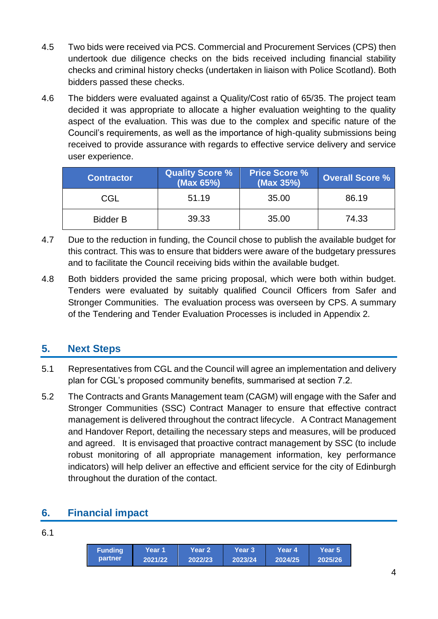- 4.5 Two bids were received via PCS. Commercial and Procurement Services (CPS) then undertook due diligence checks on the bids received including financial stability checks and criminal history checks (undertaken in liaison with Police Scotland). Both bidders passed these checks.
- 4.6 The bidders were evaluated against a Quality/Cost ratio of 65/35. The project team decided it was appropriate to allocate a higher evaluation weighting to the quality aspect of the evaluation. This was due to the complex and specific nature of the Council's requirements, as well as the importance of high-quality submissions being received to provide assurance with regards to effective service delivery and service user experience.

| <b>Contractor</b> | <b>Quality Score %</b><br>(Max 65%) | <b>Price Score %</b><br>(Max 35%) | <b>Overall Score %</b> |
|-------------------|-------------------------------------|-----------------------------------|------------------------|
| CGL               | 51.19                               | 35.00                             | 86.19                  |
| <b>Bidder B</b>   | 39.33                               | 35.00                             | 74.33                  |

- 4.7 Due to the reduction in funding, the Council chose to publish the available budget for this contract. This was to ensure that bidders were aware of the budgetary pressures and to facilitate the Council receiving bids within the available budget.
- 4.8 Both bidders provided the same pricing proposal, which were both within budget. Tenders were evaluated by suitably qualified Council Officers from Safer and Stronger Communities. The evaluation process was overseen by CPS. A summary of the Tendering and Tender Evaluation Processes is included in Appendix 2.

## **5. Next Steps**

- 5.1 Representatives from CGL and the Council will agree an implementation and delivery plan for CGL's proposed community benefits, summarised at section 7.2.
- 5.2 The Contracts and Grants Management team (CAGM) will engage with the Safer and Stronger Communities (SSC) Contract Manager to ensure that effective contract management is delivered throughout the contract lifecycle. A Contract Management and Handover Report, detailing the necessary steps and measures, will be produced and agreed. It is envisaged that proactive contract management by SSC (to include robust monitoring of all appropriate management information, key performance indicators) will help deliver an effective and efficient service for the city of Edinburgh throughout the duration of the contact.

## **6. Financial impact**

| ٠<br>۰.<br>×<br>w<br>۰. |
|-------------------------|
|-------------------------|

| <b>Funding</b> | <b>Year 1</b> | Year 2  | Year 3  | Year 4  | Year 5  |
|----------------|---------------|---------|---------|---------|---------|
| partner        | 2021/22       | 2022/23 | 2023/24 | 2024/25 | 2025/26 |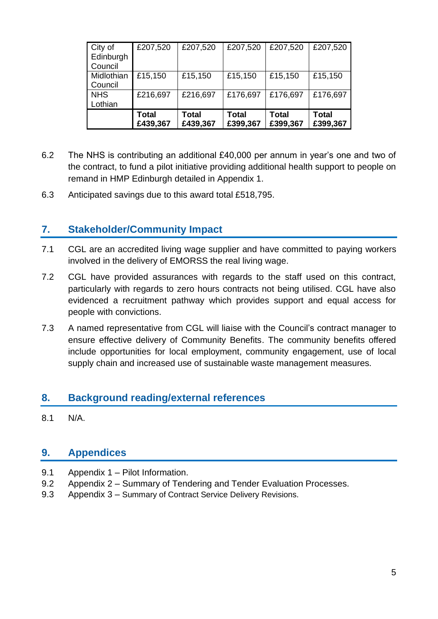| City of<br>Edinburgh<br>Council | £207,520                 | £207,520                 | £207,520                 | £207,520                 | £207,520                 |
|---------------------------------|--------------------------|--------------------------|--------------------------|--------------------------|--------------------------|
| Midlothian<br>Council           | £15,150                  | £15,150                  | £15,150                  | £15,150                  | £15,150                  |
| <b>NHS</b><br>Lothian           | £216,697                 | £216,697                 | £176,697                 | £176,697                 | £176,697                 |
|                                 | <b>Total</b><br>£439,367 | <b>Total</b><br>£439,367 | <b>Total</b><br>£399,367 | <b>Total</b><br>£399,367 | <b>Total</b><br>£399,367 |

- 6.2 The NHS is contributing an additional £40,000 per annum in year's one and two of the contract, to fund a pilot initiative providing additional health support to people on remand in HMP Edinburgh detailed in Appendix 1.
- 6.3 Anticipated savings due to this award total £518,795.

### **7. Stakeholder/Community Impact**

- 7.1 CGL are an accredited living wage supplier and have committed to paying workers involved in the delivery of EMORSS the real living wage.
- 7.2 CGL have provided assurances with regards to the staff used on this contract, particularly with regards to zero hours contracts not being utilised. CGL have also evidenced a recruitment pathway which provides support and equal access for people with convictions.
- 7.3 A named representative from CGL will liaise with the Council's contract manager to ensure effective delivery of Community Benefits. The community benefits offered include opportunities for local employment, community engagement, use of local supply chain and increased use of sustainable waste management measures.

#### **8. Background reading/external references**

8.1 N/A.

#### **9. Appendices**

- 9.1 Appendix 1 Pilot Information.
- 9.2 Appendix 2 Summary of Tendering and Tender Evaluation Processes.
- 9.3 Appendix 3 Summary of Contract Service Delivery Revisions.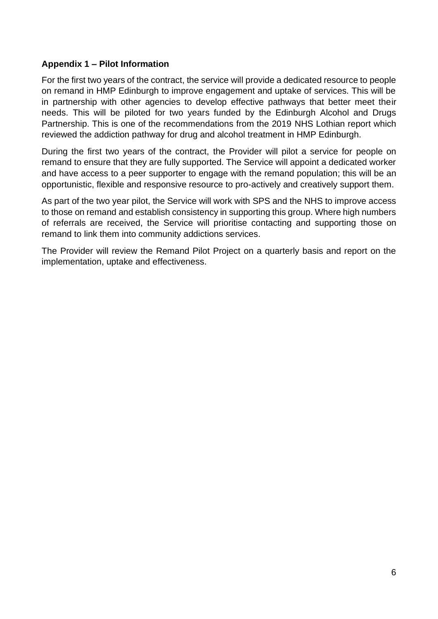#### **Appendix 1 – Pilot Information**

For the first two years of the contract, the service will provide a dedicated resource to people on remand in HMP Edinburgh to improve engagement and uptake of services. This will be in partnership with other agencies to develop effective pathways that better meet their needs. This will be piloted for two years funded by the Edinburgh Alcohol and Drugs Partnership. This is one of the recommendations from the 2019 NHS Lothian report which reviewed the addiction pathway for drug and alcohol treatment in HMP Edinburgh.

During the first two years of the contract, the Provider will pilot a service for people on remand to ensure that they are fully supported. The Service will appoint a dedicated worker and have access to a peer supporter to engage with the remand population; this will be an opportunistic, flexible and responsive resource to pro-actively and creatively support them.

As part of the two year pilot, the Service will work with SPS and the NHS to improve access to those on remand and establish consistency in supporting this group. Where high numbers of referrals are received, the Service will prioritise contacting and supporting those on remand to link them into community addictions services.

The Provider will review the Remand Pilot Project on a quarterly basis and report on the implementation, uptake and effectiveness.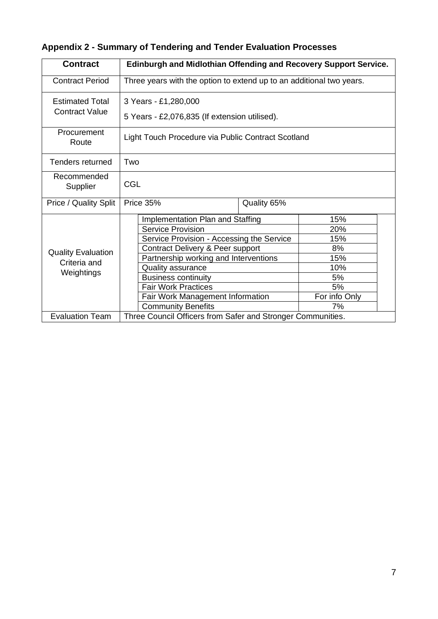| <b>Contract</b>                                         | Edinburgh and Midlothian Offending and Recovery Support Service.      |                                           |     |
|---------------------------------------------------------|-----------------------------------------------------------------------|-------------------------------------------|-----|
| <b>Contract Period</b>                                  | Three years with the option to extend up to an additional two years.  |                                           |     |
| <b>Estimated Total</b><br><b>Contract Value</b>         | 3 Years - £1,280,000<br>5 Years - £2,076,835 (If extension utilised). |                                           |     |
| Procurement<br>Route                                    | Light Touch Procedure via Public Contract Scotland                    |                                           |     |
| Tenders returned                                        | Two                                                                   |                                           |     |
| Recommended<br>Supplier                                 | CGL                                                                   |                                           |     |
| Price / Quality Split                                   | Price 35%<br>Quality 65%                                              |                                           |     |
|                                                         | Implementation Plan and Staffing                                      |                                           | 15% |
|                                                         | <b>Service Provision</b>                                              |                                           |     |
|                                                         |                                                                       | Service Provision - Accessing the Service |     |
| <b>Quality Evaluation</b><br>Criteria and<br>Weightings |                                                                       | Contract Delivery & Peer support          |     |
|                                                         |                                                                       | Partnership working and Interventions     |     |
|                                                         | Quality assurance                                                     |                                           | 10% |
|                                                         | <b>Business continuity</b>                                            |                                           | 5%  |
|                                                         | <b>Fair Work Practices</b>                                            |                                           | 5%  |
|                                                         |                                                                       | Fair Work Management Information          |     |
|                                                         | <b>Community Benefits</b>                                             |                                           |     |
| <b>Evaluation Team</b>                                  | Three Council Officers from Safer and Stronger Communities.           |                                           |     |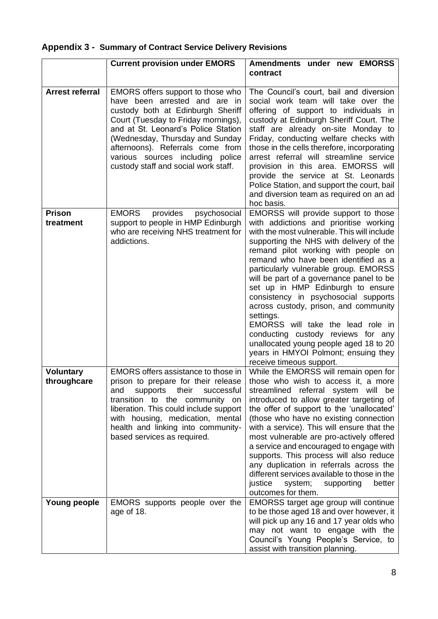|                                 | <b>Current provision under EMORS</b>                                                                                                                                                                                                                                                                                                     | Amendments under new EMORSS<br>contract                                                                                                                                                                                                                                                                                                                                                                                                                                                                                                                                                                                                                                  |
|---------------------------------|------------------------------------------------------------------------------------------------------------------------------------------------------------------------------------------------------------------------------------------------------------------------------------------------------------------------------------------|--------------------------------------------------------------------------------------------------------------------------------------------------------------------------------------------------------------------------------------------------------------------------------------------------------------------------------------------------------------------------------------------------------------------------------------------------------------------------------------------------------------------------------------------------------------------------------------------------------------------------------------------------------------------------|
| <b>Arrest referral</b>          | EMORS offers support to those who<br>have been arrested and are in<br>custody both at Edinburgh Sheriff<br>Court (Tuesday to Friday mornings),<br>and at St. Leonard's Police Station<br>(Wednesday, Thursday and Sunday<br>afternoons). Referrals come from<br>various sources including police<br>custody staff and social work staff. | The Council's court, bail and diversion<br>social work team will take over the<br>offering of support to individuals in<br>custody at Edinburgh Sheriff Court. The<br>staff are already on-site Monday to<br>Friday, conducting welfare checks with<br>those in the cells therefore, incorporating<br>arrest referral will streamline service<br>provision in this area. EMORSS will<br>provide the service at St. Leonards<br>Police Station, and support the court, bail<br>and diversion team as required on an ad<br>hoc basis.                                                                                                                                      |
| <b>Prison</b><br>treatment      | <b>EMORS</b><br>provides<br>psychosocial<br>support to people in HMP Edinburgh<br>who are receiving NHS treatment for<br>addictions.                                                                                                                                                                                                     | EMORSS will provide support to those<br>with addictions and prioritise working<br>with the most vulnerable. This will include<br>supporting the NHS with delivery of the<br>remand pilot working with people on<br>remand who have been identified as a<br>particularly vulnerable group. EMORSS<br>will be part of a governance panel to be<br>set up in HMP Edinburgh to ensure<br>consistency in psychosocial supports<br>across custody, prison, and community<br>settings.<br>EMORSS will take the lead role in<br>conducting custody reviews for any<br>unallocated young people aged 18 to 20<br>years in HMYOI Polmont; ensuing they<br>receive timeous support. |
| <b>Voluntary</b><br>throughcare | EMORS offers assistance to those in<br>prison to prepare for their release<br>supports their<br>and<br>successful<br>transition to the community on<br>liberation. This could include support<br>with housing, medication, mental<br>health and linking into community-<br>based services as required.                                   | While the EMORSS will remain open for<br>those who wish to access it, a more<br>streamlined referral system will be<br>introduced to allow greater targeting of<br>the offer of support to the 'unallocated'<br>(those who have no existing connection<br>with a service). This will ensure that the<br>most vulnerable are pro-actively offered<br>a service and encouraged to engage with<br>supports. This process will also reduce<br>any duplication in referrals across the<br>different services available to those in the<br>justice<br>system;<br>better<br>supporting<br>outcomes for them.                                                                    |
| Young people                    | EMORS supports people over the<br>age of 18.                                                                                                                                                                                                                                                                                             | EMORSS target age group will continue<br>to be those aged 18 and over however, it<br>will pick up any 16 and 17 year olds who<br>may not want to engage with the<br>Council's Young People's Service, to<br>assist with transition planning.                                                                                                                                                                                                                                                                                                                                                                                                                             |

## **Appendix 3 - Summary of Contract Service Delivery Revisions**